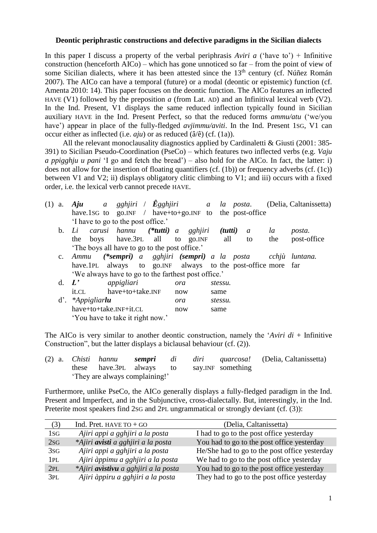## **Deontic periphrastic constructions and defective paradigms in the Sicilian dialects**

In this paper I discuss a property of the verbal periphrasis *Aviri a* ('have to') + Infinitive construction (henceforth AICo) – which has gone unnoticed so far – from the point of view of some Sicilian dialects, where it has been attested since the  $13<sup>th</sup>$  century (cf. Núñez Román 2007). The AICo can have a temporal (future) or a modal (deontic or epistemic) function (cf. Amenta 2010: 14). This paper focuses on the deontic function. The AICo features an inflected HAVE (V1) followed by the preposition *a* (from Lat. AD) and an Infinitival lexical verb (V2). In the Ind. Present, V1 displays the same reduced inflection typically found in Sicilian auxiliary HAVE in the Ind. Present Perfect, so that the reduced forms *ammu/atu* ('we/you have') appear in place of the fully-fledged *avjimmu/aviti*. In the Ind. Present 1sG, V1 can occur either as inflected (i.e. *aju*) or as reduced (â/ê) (cf. (1a)).

All the relevant monoclausality diagnostics applied by Cardinaletti & Giusti (2001: 385-391) to Sicilian Pseudo-Coordination (PseCo) – which features two inflected verbs (e.g. *Vaju a ppigghju u pani* 'I go and fetch the bread') – also hold for the AICo. In fact, the latter: i) does not allow for the insertion of floating quantifiers (cf. (1b)) or frequency adverbs (cf. (1c)) between V1 and V2; ii) displays obligatory clitic climbing to V1; and iii) occurs with a fixed order, i.e. the lexical verb cannot precede HAVE.

| (1) | a.          | <b>Aju</b> a gghjiri / $\hat{E}$ gghjiri a la posta.         |                                                        |     |         |         |    |     | (Delia, Caltanissetta) |  |  |
|-----|-------------|--------------------------------------------------------------|--------------------------------------------------------|-----|---------|---------|----|-----|------------------------|--|--|
|     |             | have.1sG to go.INF / have+to+go.INF to the post-office       |                                                        |     |         |         |    |     |                        |  |  |
|     |             | 'I have to go to the post office.'                           |                                                        |     |         |         |    |     |                        |  |  |
|     | b.          | Li carusi hannu (* <b>tutti</b> ) a gghjiri                  |                                                        |     |         | (tutti) | a  | la  | posta.                 |  |  |
|     |             | boys have.3PL all to go.INF<br>the                           |                                                        |     |         | all     | to | the | post-office            |  |  |
|     |             | 'The boys all have to go to the post office.'                |                                                        |     |         |         |    |     |                        |  |  |
|     | $c_{\cdot}$ | Ammu                                                         | (*sempri) a gghjiri (sempri) a la posta cchjù luntana. |     |         |         |    |     |                        |  |  |
|     |             | have.1PL always to go.INF always to the post-office more far |                                                        |     |         |         |    |     |                        |  |  |
|     |             | 'We always have to go to the farthest post office.'          |                                                        |     |         |         |    |     |                        |  |  |
|     | d. $L'$     | appigliari                                                   |                                                        | ora |         | stessu. |    |     |                        |  |  |
|     |             | have+to+take.INF<br>it.CL                                    |                                                        | now |         | same    |    |     |                        |  |  |
|     |             | $d'.$ *Appigliarlu                                           |                                                        | ora | stessu. |         |    |     |                        |  |  |
|     |             | have+to+take.INF+it.CL                                       | now                                                    |     | same    |         |    |     |                        |  |  |
|     |             | 'You have to take it right now.'                             |                                                        |     |         |         |    |     |                        |  |  |

The AICo is very similar to another deontic construction, namely the '*Aviri di* + Infinitive Construction", but the latter displays a biclausal behaviour (cf. (2)).

|  |                                |  |  |  |  |                                            | (2) a. <i>Chisti hannu</i> sempri di diri quarcosa! (Delia, Caltanissetta) |  |  |
|--|--------------------------------|--|--|--|--|--------------------------------------------|----------------------------------------------------------------------------|--|--|
|  |                                |  |  |  |  | these have.3PL always to say.INF something |                                                                            |  |  |
|  | 'They are always complaining!' |  |  |  |  |                                            |                                                                            |  |  |

Furthermore, unlike PseCo, the AICo generally displays a fully-fledged paradigm in the Ind. Present and Imperfect, and in the Subjunctive, cross-dialectally. But, interestingly, in the Ind. Preterite most speakers find 2SG and 2PL ungrammatical or strongly deviant (cf. (3)):

| (3)             | Ind. Pret. HAVE $TO + GO$            | (Delia, Caltanissetta)                        |
|-----------------|--------------------------------------|-----------------------------------------------|
| 1s <sub>G</sub> | Ajiri appi a gghjiri a la posta      | I had to go to the post office yesterday      |
| 2SG             | *Ajiri avisti a gghjiri a la posta   | You had to go to the post office yesterday    |
| 3SG             | Ajiri appi a gghjiri a la posta      | He/She had to go to the post office yesterday |
| 1PL             | Ajiri àppimu a gghjiri a la posta    | We had to go to the post office yesterday     |
| 2PL             | *Ajiri avistivu a gghjiri a la posta | You had to go to the post office yesterday    |
| 3PL             | Ajiri àppiru a gghjiri a la posta    | They had to go to the post office yesterday   |